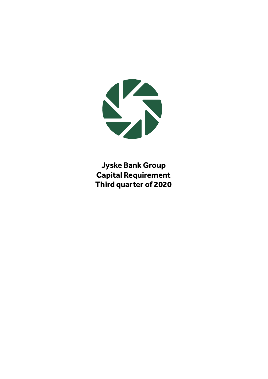

**Jyske Bank Group Capital Requirement Third quarter of 2020**